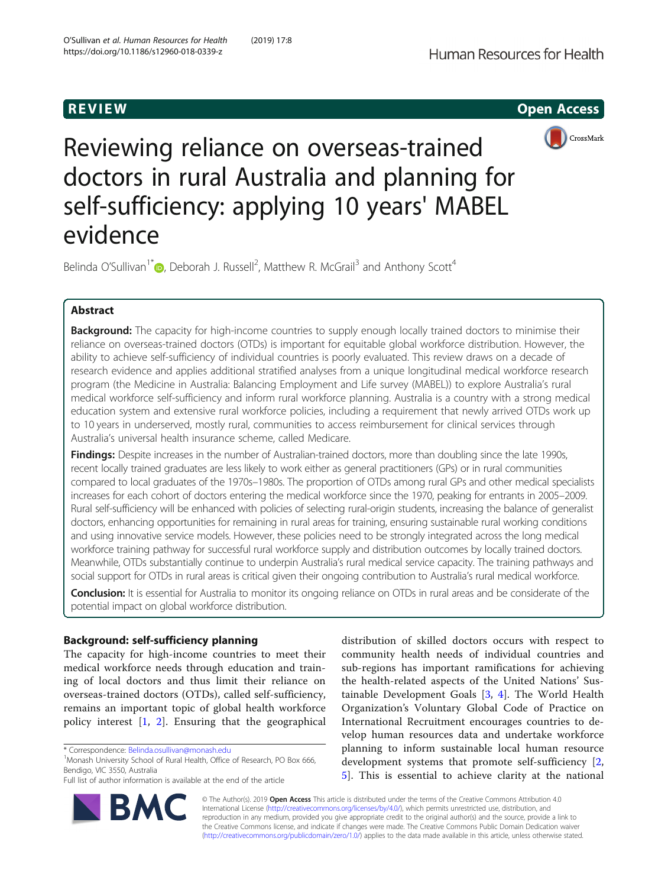



# Reviewing reliance on overseas-trained doctors in rural Australia and planning for self-sufficiency: applying 10 years' MABEL evidence

Belinda O'Sullivan<sup>1[\\*](http://orcid.org/0000-0003-4068-3240)</sup> <sub>(D</sub>, Deborah J. Russell<sup>2</sup>, Matthew R. McGrail<sup>3</sup> and Anthony Scott<sup>4</sup>

# Abstract

Background: The capacity for high-income countries to supply enough locally trained doctors to minimise their reliance on overseas-trained doctors (OTDs) is important for equitable global workforce distribution. However, the ability to achieve self-sufficiency of individual countries is poorly evaluated. This review draws on a decade of research evidence and applies additional stratified analyses from a unique longitudinal medical workforce research program (the Medicine in Australia: Balancing Employment and Life survey (MABEL)) to explore Australia's rural medical workforce self-sufficiency and inform rural workforce planning. Australia is a country with a strong medical education system and extensive rural workforce policies, including a requirement that newly arrived OTDs work up to 10 years in underserved, mostly rural, communities to access reimbursement for clinical services through Australia's universal health insurance scheme, called Medicare.

Findings: Despite increases in the number of Australian-trained doctors, more than doubling since the late 1990s, recent locally trained graduates are less likely to work either as general practitioners (GPs) or in rural communities compared to local graduates of the 1970s–1980s. The proportion of OTDs among rural GPs and other medical specialists increases for each cohort of doctors entering the medical workforce since the 1970, peaking for entrants in 2005–2009. Rural self-sufficiency will be enhanced with policies of selecting rural-origin students, increasing the balance of generalist doctors, enhancing opportunities for remaining in rural areas for training, ensuring sustainable rural working conditions and using innovative service models. However, these policies need to be strongly integrated across the long medical workforce training pathway for successful rural workforce supply and distribution outcomes by locally trained doctors. Meanwhile, OTDs substantially continue to underpin Australia's rural medical service capacity. The training pathways and social support for OTDs in rural areas is critical given their ongoing contribution to Australia's rural medical workforce.

Conclusion: It is essential for Australia to monitor its ongoing reliance on OTDs in rural areas and be considerate of the potential impact on global workforce distribution.

# Background: self-sufficiency planning

The capacity for high-income countries to meet their medical workforce needs through education and training of local doctors and thus limit their reliance on overseas-trained doctors (OTDs), called self-sufficiency, remains an important topic of global health workforce policy interest [[1,](#page-7-0) [2](#page-7-0)]. Ensuring that the geographical

**BM** 

<sup>1</sup> Monash University School of Rural Health, Office of Research, PO Box 666, Bendigo, VIC 3550, Australia

Full list of author information is available at the end of the article



© The Author(s). 2019 Open Access This article is distributed under the terms of the Creative Commons Attribution 4.0 International License [\(http://creativecommons.org/licenses/by/4.0/](http://creativecommons.org/licenses/by/4.0/)), which permits unrestricted use, distribution, and reproduction in any medium, provided you give appropriate credit to the original author(s) and the source, provide a link to the Creative Commons license, and indicate if changes were made. The Creative Commons Public Domain Dedication waiver [\(http://creativecommons.org/publicdomain/zero/1.0/](http://creativecommons.org/publicdomain/zero/1.0/)) applies to the data made available in this article, unless otherwise stated.

<sup>\*</sup> Correspondence: [Belinda.osullivan@monash.edu](mailto:Belinda.osullivan@monash.edu) <sup>1</sup>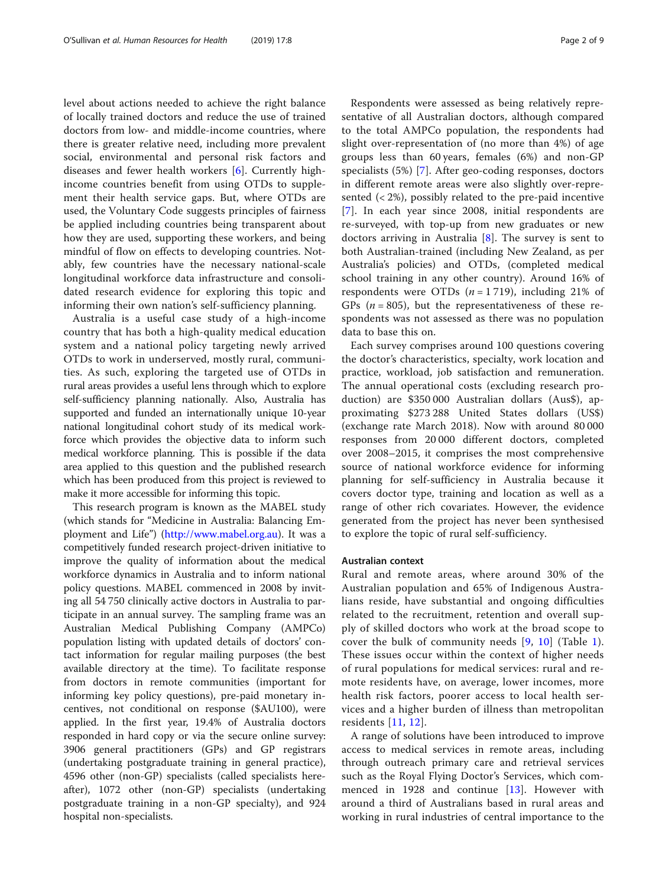level about actions needed to achieve the right balance of locally trained doctors and reduce the use of trained doctors from low- and middle-income countries, where there is greater relative need, including more prevalent social, environmental and personal risk factors and diseases and fewer health workers [[6](#page-7-0)]. Currently highincome countries benefit from using OTDs to supplement their health service gaps. But, where OTDs are used, the Voluntary Code suggests principles of fairness be applied including countries being transparent about how they are used, supporting these workers, and being mindful of flow on effects to developing countries. Notably, few countries have the necessary national-scale longitudinal workforce data infrastructure and consolidated research evidence for exploring this topic and informing their own nation's self-sufficiency planning.

Australia is a useful case study of a high-income country that has both a high-quality medical education system and a national policy targeting newly arrived OTDs to work in underserved, mostly rural, communities. As such, exploring the targeted use of OTDs in rural areas provides a useful lens through which to explore self-sufficiency planning nationally. Also, Australia has supported and funded an internationally unique 10-year national longitudinal cohort study of its medical workforce which provides the objective data to inform such medical workforce planning. This is possible if the data area applied to this question and the published research which has been produced from this project is reviewed to make it more accessible for informing this topic.

This research program is known as the MABEL study (which stands for "Medicine in Australia: Balancing Employment and Life") ([http://www.mabel.org.au\)](http://www.mabel.org.au). It was a competitively funded research project-driven initiative to improve the quality of information about the medical workforce dynamics in Australia and to inform national policy questions. MABEL commenced in 2008 by inviting all 54 750 clinically active doctors in Australia to participate in an annual survey. The sampling frame was an Australian Medical Publishing Company (AMPCo) population listing with updated details of doctors' contact information for regular mailing purposes (the best available directory at the time). To facilitate response from doctors in remote communities (important for informing key policy questions), pre-paid monetary incentives, not conditional on response (\$AU100), were applied. In the first year, 19.4% of Australia doctors responded in hard copy or via the secure online survey: 3906 general practitioners (GPs) and GP registrars (undertaking postgraduate training in general practice), 4596 other (non-GP) specialists (called specialists hereafter), 1072 other (non-GP) specialists (undertaking postgraduate training in a non-GP specialty), and 924 hospital non-specialists.

Respondents were assessed as being relatively representative of all Australian doctors, although compared to the total AMPCo population, the respondents had slight over-representation of (no more than 4%) of age groups less than 60 years, females (6%) and non-GP specialists (5%) [\[7](#page-7-0)]. After geo-coding responses, doctors in different remote areas were also slightly over-represented  $(< 2\%)$ , possibly related to the pre-paid incentive [[7\]](#page-7-0). In each year since 2008, initial respondents are re-surveyed, with top-up from new graduates or new doctors arriving in Australia [[8\]](#page-7-0). The survey is sent to both Australian-trained (including New Zealand, as per Australia's policies) and OTDs, (completed medical school training in any other country). Around 16% of respondents were OTDs  $(n = 1719)$ , including 21% of GPs ( $n = 805$ ), but the representativeness of these respondents was not assessed as there was no population data to base this on.

Each survey comprises around 100 questions covering the doctor's characteristics, specialty, work location and practice, workload, job satisfaction and remuneration. The annual operational costs (excluding research production) are \$350 000 Australian dollars (Aus\$), approximating \$273 288 United States dollars (US\$) (exchange rate March 2018). Now with around 80 000 responses from 20 000 different doctors, completed over 2008–2015, it comprises the most comprehensive source of national workforce evidence for informing planning for self-sufficiency in Australia because it covers doctor type, training and location as well as a range of other rich covariates. However, the evidence generated from the project has never been synthesised to explore the topic of rural self-sufficiency.

#### Australian context

Rural and remote areas, where around 30% of the Australian population and 65% of Indigenous Australians reside, have substantial and ongoing difficulties related to the recruitment, retention and overall supply of skilled doctors who work at the broad scope to cover the bulk of community needs [\[9](#page-7-0), [10](#page-7-0)] (Table [1](#page-2-0)). These issues occur within the context of higher needs of rural populations for medical services: rural and remote residents have, on average, lower incomes, more health risk factors, poorer access to local health services and a higher burden of illness than metropolitan residents [\[11,](#page-7-0) [12](#page-7-0)].

A range of solutions have been introduced to improve access to medical services in remote areas, including through outreach primary care and retrieval services such as the Royal Flying Doctor's Services, which commenced in 1928 and continue [\[13](#page-7-0)]. However with around a third of Australians based in rural areas and working in rural industries of central importance to the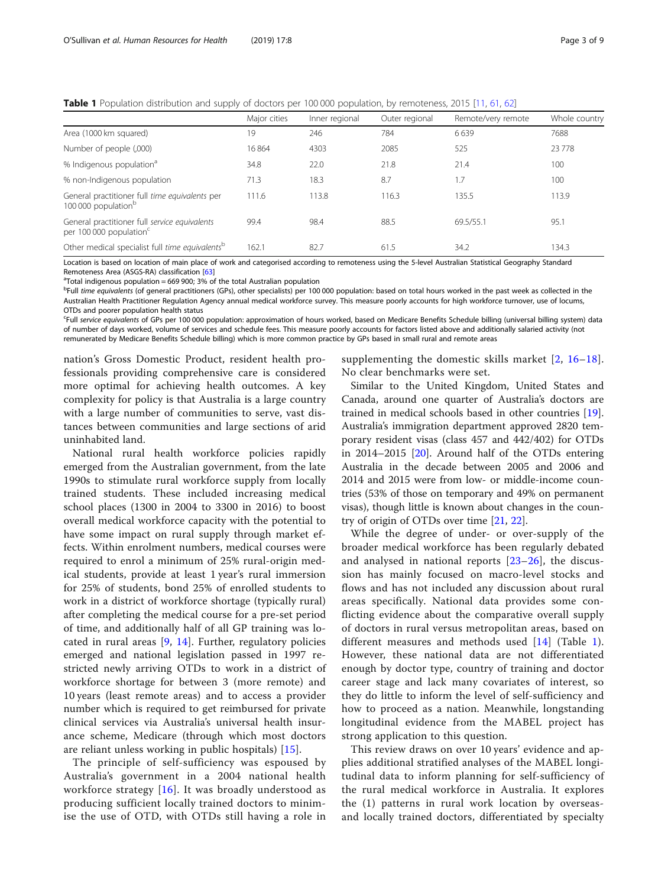<span id="page-2-0"></span>**Table 1** Population distribution and supply of doctors per 100 000 population, by remoteness, 2015 [\[11,](#page-7-0) [61,](#page-8-0) [62\]](#page-8-0)

|                                                                                      | Major cities | Inner regional | Outer regional | Remote/very remote | Whole country |
|--------------------------------------------------------------------------------------|--------------|----------------|----------------|--------------------|---------------|
| Area (1000 km squared)                                                               | 19           | 246            | 784            | 6639               | 7688          |
| Number of people (,000)                                                              | 16864        | 4303           | 2085           | 525                | 23778         |
| % Indigenous population <sup>a</sup>                                                 | 34.8         | 22.0           | 21.8           | 21.4               | 100           |
| % non-Indigenous population                                                          | 71.3         | 18.3           | 8.7            | 1.7                | 100           |
| General practitioner full time equivalents per<br>100 000 population <sup>b</sup>    | 111.6        | 113.8          | 116.3          | 135.5              | 113.9         |
| General practitioner full service equivalents<br>per 100 000 population <sup>c</sup> | 99.4         | 98.4           | 88.5           | 69.5/55.1          | 95.1          |
| Other medical specialist full time equivalents <sup>b</sup>                          | 162.1        | 82.7           | 61.5           | 34.2               | 134.3         |

Location is based on location of main place of work and categorised according to remoteness using the 5-level Australian Statistical Geography Standard Remoteness Area (ASGS-RA) classification [[63\]](#page-8-0)

 $^{\text{a}}$ Total indigenous population = 669 900; 3% of the total Australian population

b<br><sup>b</sup>Full time equivalents (of general practitioners (GPs), other specialists) per 100 000 population: based on total hours worked in the past week as collected in the Australian Health Practitioner Regulation Agency annual medical workforce survey. This measure poorly accounts for high workforce turnover, use of locums, OTDs and poorer population health status

<sup>c</sup>Full service equivalents of GPs per 100 000 population: approximation of hours worked, based on Medicare Benefits Schedule billing (universal billing system) data of number of days worked, volume of services and schedule fees. This measure poorly accounts for factors listed above and additionally salaried activity (not remunerated by Medicare Benefits Schedule billing) which is more common practice by GPs based in small rural and remote areas

nation's Gross Domestic Product, resident health professionals providing comprehensive care is considered more optimal for achieving health outcomes. A key complexity for policy is that Australia is a large country with a large number of communities to serve, vast distances between communities and large sections of arid uninhabited land.

National rural health workforce policies rapidly emerged from the Australian government, from the late 1990s to stimulate rural workforce supply from locally trained students. These included increasing medical school places (1300 in 2004 to 3300 in 2016) to boost overall medical workforce capacity with the potential to have some impact on rural supply through market effects. Within enrolment numbers, medical courses were required to enrol a minimum of 25% rural-origin medical students, provide at least 1 year's rural immersion for 25% of students, bond 25% of enrolled students to work in a district of workforce shortage (typically rural) after completing the medical course for a pre-set period of time, and additionally half of all GP training was located in rural areas [\[9](#page-7-0), [14](#page-7-0)]. Further, regulatory policies emerged and national legislation passed in 1997 restricted newly arriving OTDs to work in a district of workforce shortage for between 3 (more remote) and 10 years (least remote areas) and to access a provider number which is required to get reimbursed for private clinical services via Australia's universal health insurance scheme, Medicare (through which most doctors are reliant unless working in public hospitals) [[15\]](#page-7-0).

The principle of self-sufficiency was espoused by Australia's government in a 2004 national health workforce strategy  $[16]$  $[16]$  $[16]$ . It was broadly understood as producing sufficient locally trained doctors to minimise the use of OTD, with OTDs still having a role in

supplementing the domestic skills market [[2](#page-7-0), [16](#page-7-0)–[18](#page-7-0)]. No clear benchmarks were set.

Similar to the United Kingdom, United States and Canada, around one quarter of Australia's doctors are trained in medical schools based in other countries [\[19](#page-7-0)]. Australia's immigration department approved 2820 temporary resident visas (class 457 and 442/402) for OTDs in 2014–2015 [[20\]](#page-7-0). Around half of the OTDs entering Australia in the decade between 2005 and 2006 and 2014 and 2015 were from low- or middle-income countries (53% of those on temporary and 49% on permanent visas), though little is known about changes in the country of origin of OTDs over time [[21,](#page-7-0) [22\]](#page-7-0).

While the degree of under- or over-supply of the broader medical workforce has been regularly debated and analysed in national reports [[23](#page-7-0)–[26\]](#page-8-0), the discussion has mainly focused on macro-level stocks and flows and has not included any discussion about rural areas specifically. National data provides some conflicting evidence about the comparative overall supply of doctors in rural versus metropolitan areas, based on different measures and methods used [[14\]](#page-7-0) (Table 1). However, these national data are not differentiated enough by doctor type, country of training and doctor career stage and lack many covariates of interest, so they do little to inform the level of self-sufficiency and how to proceed as a nation. Meanwhile, longstanding longitudinal evidence from the MABEL project has strong application to this question.

This review draws on over 10 years' evidence and applies additional stratified analyses of the MABEL longitudinal data to inform planning for self-sufficiency of the rural medical workforce in Australia. It explores the (1) patterns in rural work location by overseasand locally trained doctors, differentiated by specialty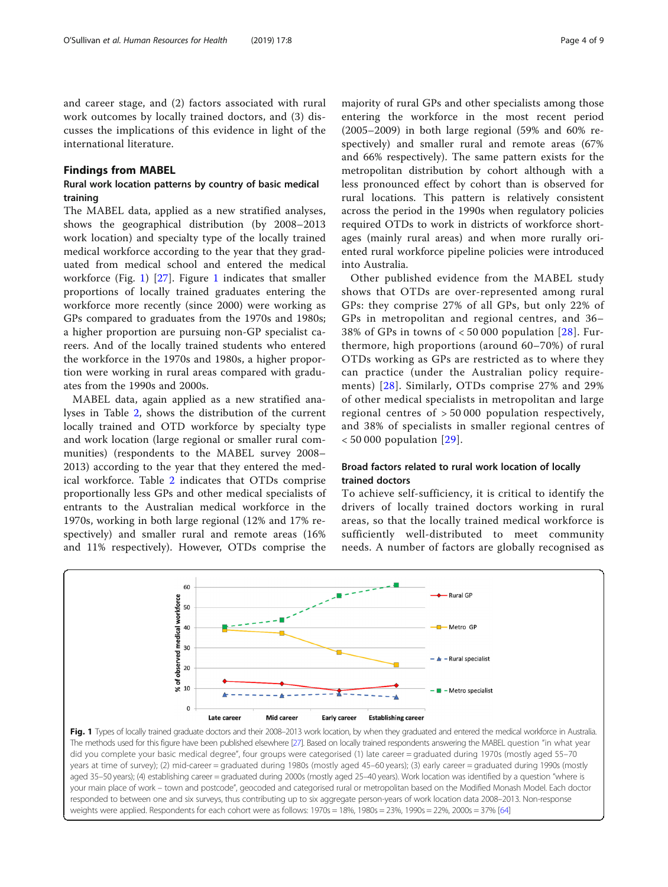and career stage, and (2) factors associated with rural work outcomes by locally trained doctors, and (3) discusses the implications of this evidence in light of the international literature.

## Findings from MABEL

# Rural work location patterns by country of basic medical training

The MABEL data, applied as a new stratified analyses, shows the geographical distribution (by 2008–2013 work location) and specialty type of the locally trained medical workforce according to the year that they graduated from medical school and entered the medical workforce (Fig. 1) [\[27](#page-8-0)]. Figure 1 indicates that smaller proportions of locally trained graduates entering the workforce more recently (since 2000) were working as GPs compared to graduates from the 1970s and 1980s; a higher proportion are pursuing non-GP specialist careers. And of the locally trained students who entered the workforce in the 1970s and 1980s, a higher proportion were working in rural areas compared with graduates from the 1990s and 2000s.

MABEL data, again applied as a new stratified analyses in Table [2](#page-4-0), shows the distribution of the current locally trained and OTD workforce by specialty type and work location (large regional or smaller rural communities) (respondents to the MABEL survey 2008– 2013) according to the year that they entered the medical workforce. Table [2](#page-4-0) indicates that OTDs comprise proportionally less GPs and other medical specialists of entrants to the Australian medical workforce in the 1970s, working in both large regional (12% and 17% respectively) and smaller rural and remote areas (16% and 11% respectively). However, OTDs comprise the majority of rural GPs and other specialists among those entering the workforce in the most recent period (2005–2009) in both large regional (59% and 60% respectively) and smaller rural and remote areas (67% and 66% respectively). The same pattern exists for the metropolitan distribution by cohort although with a less pronounced effect by cohort than is observed for rural locations. This pattern is relatively consistent across the period in the 1990s when regulatory policies required OTDs to work in districts of workforce shortages (mainly rural areas) and when more rurally oriented rural workforce pipeline policies were introduced into Australia.

Other published evidence from the MABEL study shows that OTDs are over-represented among rural GPs: they comprise 27% of all GPs, but only 22% of GPs in metropolitan and regional centres, and 36– 38% of GPs in towns of  $< 50000$  population [[28](#page-8-0)]. Furthermore, high proportions (around 60–70%) of rural OTDs working as GPs are restricted as to where they can practice (under the Australian policy requirements) [[28](#page-8-0)]. Similarly, OTDs comprise 27% and 29% of other medical specialists in metropolitan and large regional centres of > 50 000 population respectively, and 38% of specialists in smaller regional centres of < 50 000 population [[29](#page-8-0)].

# Broad factors related to rural work location of locally trained doctors

To achieve self-sufficiency, it is critical to identify the drivers of locally trained doctors working in rural areas, so that the locally trained medical workforce is sufficiently well-distributed to meet community needs. A number of factors are globally recognised as



Fig. 1 Types of locally trained graduate doctors and their 2008–2013 work location, by when they graduated and entered the medical workforce in Australia. The methods used for this figure have been published elsewhere [\[27](#page-8-0)]. Based on locally trained respondents answering the MABEL question "in what year did you complete your basic medical degree", four groups were categorised (1) late career = graduated during 1970s (mostly aged 55–70 years at time of survey); (2) mid-career = graduated during 1980s (mostly aged 45–60 years); (3) early career = graduated during 1990s (mostly aged 35–50 years); (4) establishing career = graduated during 2000s (mostly aged 25–40 years). Work location was identified by a question "where is your main place of work – town and postcode", geocoded and categorised rural or metropolitan based on the Modified Monash Model. Each doctor responded to between one and six surveys, thus contributing up to six aggregate person-years of work location data 2008–2013. Non-response weights were applied. Respondents for each cohort were as follows: 1970s = 18%, 1980s = 23%, 1990s = 22%, 2000s = 37% [\[64\]](#page-8-0)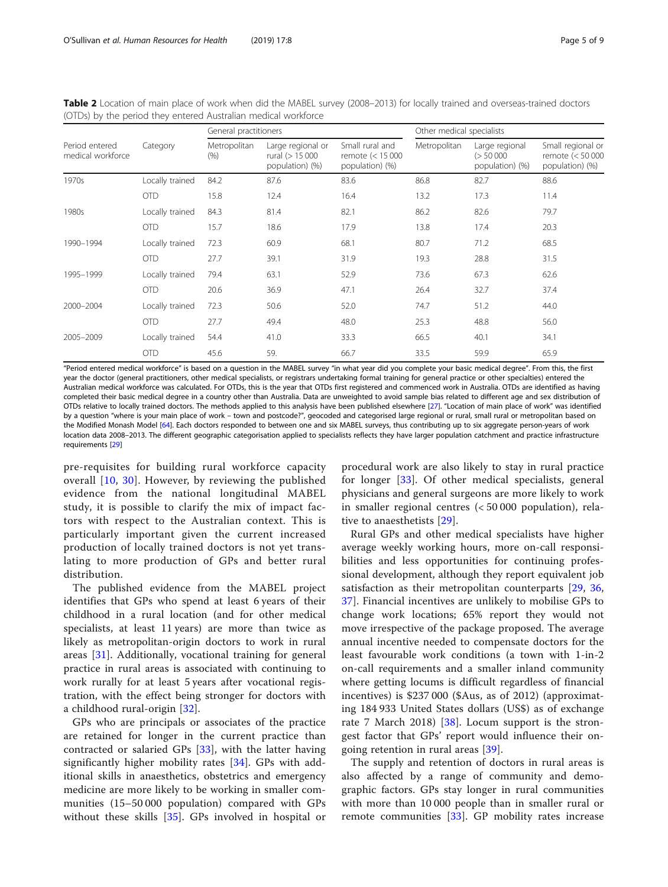<span id="page-4-0"></span>Table 2 Location of main place of work when did the MABEL survey (2008–2013) for locally trained and overseas-trained doctors (OTDs) by the period they entered Australian medical workforce

|                                     | Category        | General practitioners |                                                           |                                                         | Other medical specialists |                                               |                                                          |
|-------------------------------------|-----------------|-----------------------|-----------------------------------------------------------|---------------------------------------------------------|---------------------------|-----------------------------------------------|----------------------------------------------------------|
| Period entered<br>medical workforce |                 | Metropolitan<br>(% )  | Large regional or<br>rural $(> 15 000$<br>population) (%) | Small rural and<br>remote $(< 15000$<br>population) (%) | Metropolitan              | Large regional<br>(> 50000<br>population) (%) | Small regional or<br>remote (< 50 000<br>population) (%) |
| 1970s                               | Locally trained | 84.2                  | 87.6                                                      | 83.6                                                    | 86.8                      | 82.7                                          | 88.6                                                     |
|                                     | <b>OTD</b>      | 15.8                  | 12.4                                                      | 16.4                                                    | 13.2                      | 17.3                                          | 11.4                                                     |
| 1980s                               | Locally trained | 84.3                  | 81.4                                                      | 82.1                                                    | 86.2                      | 82.6                                          | 79.7                                                     |
|                                     | <b>OTD</b>      | 15.7                  | 18.6                                                      | 17.9                                                    | 13.8                      | 17.4                                          | 20.3                                                     |
| 1990-1994                           | Locally trained | 72.3                  | 60.9                                                      | 68.1                                                    | 80.7                      | 71.2                                          | 68.5                                                     |
|                                     | <b>OTD</b>      | 27.7                  | 39.1                                                      | 31.9                                                    | 19.3                      | 28.8                                          | 31.5                                                     |
| 1995-1999                           | Locally trained | 79.4                  | 63.1                                                      | 52.9                                                    | 73.6                      | 67.3                                          | 62.6                                                     |
|                                     | <b>OTD</b>      | 20.6                  | 36.9                                                      | 47.1                                                    | 26.4                      | 32.7                                          | 37.4                                                     |
| 2000-2004                           | Locally trained | 72.3                  | 50.6                                                      | 52.0                                                    | 74.7                      | 51.2                                          | 44.0                                                     |
|                                     | <b>OTD</b>      | 27.7                  | 49.4                                                      | 48.0                                                    | 25.3                      | 48.8                                          | 56.0                                                     |
| 2005-2009                           | Locally trained | 54.4                  | 41.0                                                      | 33.3                                                    | 66.5                      | 40.1                                          | 34.1                                                     |
|                                     | <b>OTD</b>      | 45.6                  | 59.                                                       | 66.7                                                    | 33.5                      | 59.9                                          | 65.9                                                     |

"Period entered medical workforce" is based on a question in the MABEL survey "in what year did you complete your basic medical degree". From this, the first year the doctor (general practitioners, other medical specialists, or registrars undertaking formal training for general practice or other specialties) entered the Australian medical workforce was calculated. For OTDs, this is the year that OTDs first registered and commenced work in Australia. OTDs are identified as having completed their basic medical degree in a country other than Australia. Data are unweighted to avoid sample bias related to different age and sex distribution of OTDs relative to locally trained doctors. The methods applied to this analysis have been published elsewhere [[27\]](#page-8-0). "Location of main place of work" was identified by a question "where is your main place of work – town and postcode?", geocoded and categorised large regional or rural, small rural or metropolitan based on the Modified Monash Model [[64\]](#page-8-0). Each doctors responded to between one and six MABEL surveys, thus contributing up to six aggregate person-years of work location data 2008–2013. The different geographic categorisation applied to specialists reflects they have larger population catchment and practice infrastructure requirements [[29](#page-8-0)]

pre-requisites for building rural workforce capacity overall [[10](#page-7-0), [30\]](#page-8-0). However, by reviewing the published evidence from the national longitudinal MABEL study, it is possible to clarify the mix of impact factors with respect to the Australian context. This is particularly important given the current increased production of locally trained doctors is not yet translating to more production of GPs and better rural distribution.

The published evidence from the MABEL project identifies that GPs who spend at least 6 years of their childhood in a rural location (and for other medical specialists, at least 11 years) are more than twice as likely as metropolitan-origin doctors to work in rural areas [[31](#page-8-0)]. Additionally, vocational training for general practice in rural areas is associated with continuing to work rurally for at least 5 years after vocational registration, with the effect being stronger for doctors with a childhood rural-origin [\[32](#page-8-0)].

GPs who are principals or associates of the practice are retained for longer in the current practice than contracted or salaried GPs [[33](#page-8-0)], with the latter having significantly higher mobility rates [\[34](#page-8-0)]. GPs with additional skills in anaesthetics, obstetrics and emergency medicine are more likely to be working in smaller communities (15–50 000 population) compared with GPs without these skills [[35\]](#page-8-0). GPs involved in hospital or

procedural work are also likely to stay in rural practice for longer [[33\]](#page-8-0). Of other medical specialists, general physicians and general surgeons are more likely to work in smaller regional centres (< 50 000 population), relative to anaesthetists [\[29](#page-8-0)].

Rural GPs and other medical specialists have higher average weekly working hours, more on-call responsibilities and less opportunities for continuing professional development, although they report equivalent job satisfaction as their metropolitan counterparts [[29](#page-8-0), [36](#page-8-0), [37\]](#page-8-0). Financial incentives are unlikely to mobilise GPs to change work locations; 65% report they would not move irrespective of the package proposed. The average annual incentive needed to compensate doctors for the least favourable work conditions (a town with 1-in-2 on-call requirements and a smaller inland community where getting locums is difficult regardless of financial incentives) is \$237 000 (\$Aus, as of 2012) (approximating 184 933 United States dollars (US\$) as of exchange rate 7 March 2018) [\[38](#page-8-0)]. Locum support is the strongest factor that GPs' report would influence their ongoing retention in rural areas [\[39](#page-8-0)].

The supply and retention of doctors in rural areas is also affected by a range of community and demographic factors. GPs stay longer in rural communities with more than 10 000 people than in smaller rural or remote communities [[33\]](#page-8-0). GP mobility rates increase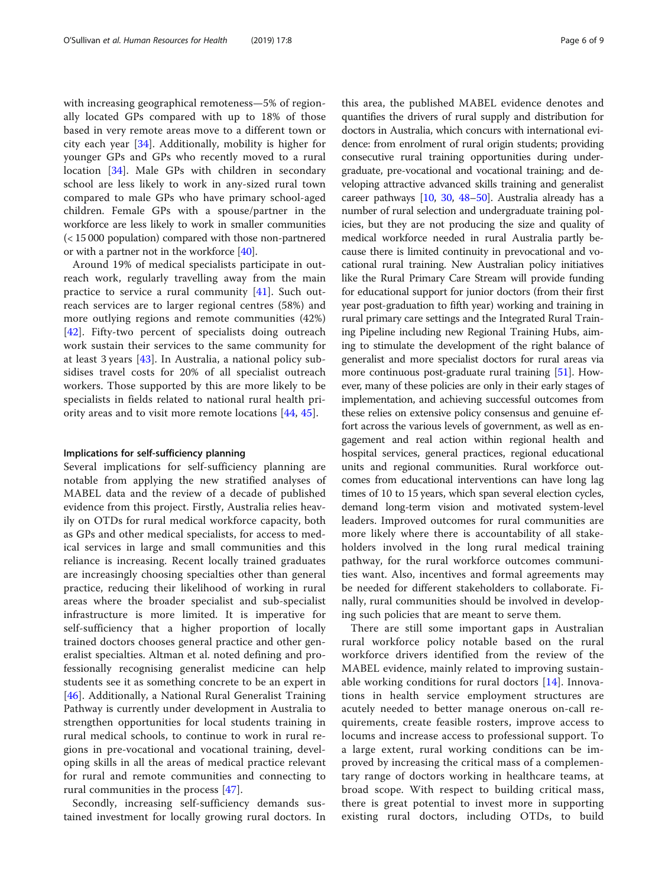with increasing geographical remoteness—5% of regionally located GPs compared with up to 18% of those based in very remote areas move to a different town or city each year [[34\]](#page-8-0). Additionally, mobility is higher for younger GPs and GPs who recently moved to a rural location [\[34](#page-8-0)]. Male GPs with children in secondary school are less likely to work in any-sized rural town compared to male GPs who have primary school-aged children. Female GPs with a spouse/partner in the workforce are less likely to work in smaller communities (< 15 000 population) compared with those non-partnered or with a partner not in the workforce [[40](#page-8-0)].

Around 19% of medical specialists participate in outreach work, regularly travelling away from the main practice to service a rural community [[41\]](#page-8-0). Such outreach services are to larger regional centres (58%) and more outlying regions and remote communities (42%) [[42\]](#page-8-0). Fifty-two percent of specialists doing outreach work sustain their services to the same community for at least 3 years [[43\]](#page-8-0). In Australia, a national policy subsidises travel costs for 20% of all specialist outreach workers. Those supported by this are more likely to be specialists in fields related to national rural health priority areas and to visit more remote locations [\[44](#page-8-0), [45\]](#page-8-0).

#### Implications for self-sufficiency planning

Several implications for self-sufficiency planning are notable from applying the new stratified analyses of MABEL data and the review of a decade of published evidence from this project. Firstly, Australia relies heavily on OTDs for rural medical workforce capacity, both as GPs and other medical specialists, for access to medical services in large and small communities and this reliance is increasing. Recent locally trained graduates are increasingly choosing specialties other than general practice, reducing their likelihood of working in rural areas where the broader specialist and sub-specialist infrastructure is more limited. It is imperative for self-sufficiency that a higher proportion of locally trained doctors chooses general practice and other generalist specialties. Altman et al. noted defining and professionally recognising generalist medicine can help students see it as something concrete to be an expert in [[46\]](#page-8-0). Additionally, a National Rural Generalist Training Pathway is currently under development in Australia to strengthen opportunities for local students training in rural medical schools, to continue to work in rural regions in pre-vocational and vocational training, developing skills in all the areas of medical practice relevant for rural and remote communities and connecting to rural communities in the process [\[47](#page-8-0)].

Secondly, increasing self-sufficiency demands sustained investment for locally growing rural doctors. In

this area, the published MABEL evidence denotes and quantifies the drivers of rural supply and distribution for doctors in Australia, which concurs with international evidence: from enrolment of rural origin students; providing consecutive rural training opportunities during undergraduate, pre-vocational and vocational training; and developing attractive advanced skills training and generalist career pathways [\[10](#page-7-0), [30](#page-8-0), [48](#page-8-0)–[50](#page-8-0)]. Australia already has a number of rural selection and undergraduate training policies, but they are not producing the size and quality of medical workforce needed in rural Australia partly because there is limited continuity in prevocational and vocational rural training. New Australian policy initiatives like the Rural Primary Care Stream will provide funding for educational support for junior doctors (from their first year post-graduation to fifth year) working and training in rural primary care settings and the Integrated Rural Training Pipeline including new Regional Training Hubs, aiming to stimulate the development of the right balance of generalist and more specialist doctors for rural areas via more continuous post-graduate rural training [\[51\]](#page-8-0). However, many of these policies are only in their early stages of implementation, and achieving successful outcomes from these relies on extensive policy consensus and genuine effort across the various levels of government, as well as engagement and real action within regional health and hospital services, general practices, regional educational units and regional communities. Rural workforce outcomes from educational interventions can have long lag times of 10 to 15 years, which span several election cycles, demand long-term vision and motivated system-level leaders. Improved outcomes for rural communities are more likely where there is accountability of all stakeholders involved in the long rural medical training pathway, for the rural workforce outcomes communities want. Also, incentives and formal agreements may be needed for different stakeholders to collaborate. Finally, rural communities should be involved in developing such policies that are meant to serve them.

There are still some important gaps in Australian rural workforce policy notable based on the rural workforce drivers identified from the review of the MABEL evidence, mainly related to improving sustainable working conditions for rural doctors [[14](#page-7-0)]. Innovations in health service employment structures are acutely needed to better manage onerous on-call requirements, create feasible rosters, improve access to locums and increase access to professional support. To a large extent, rural working conditions can be improved by increasing the critical mass of a complementary range of doctors working in healthcare teams, at broad scope. With respect to building critical mass, there is great potential to invest more in supporting existing rural doctors, including OTDs, to build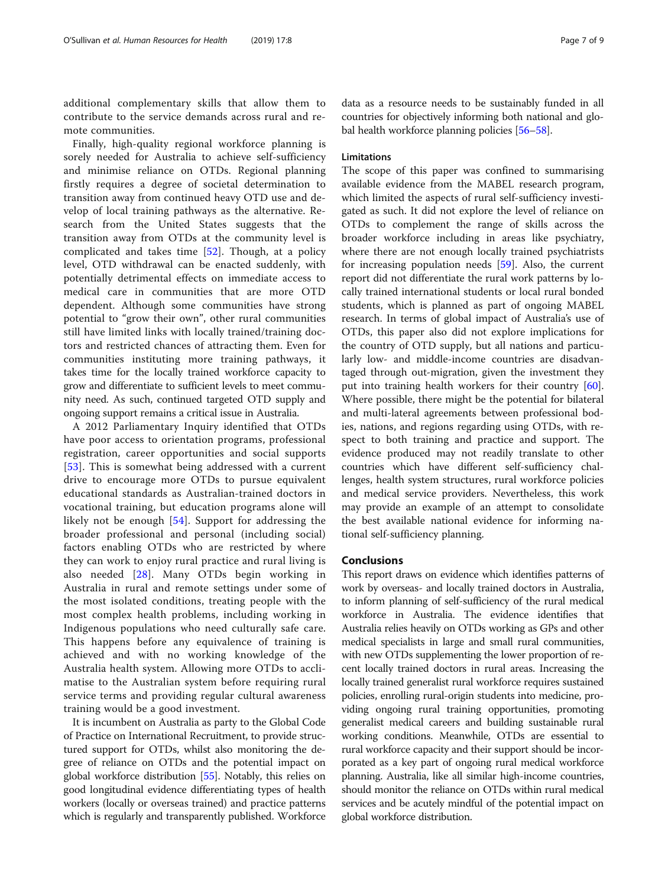additional complementary skills that allow them to contribute to the service demands across rural and remote communities.

Finally, high-quality regional workforce planning is sorely needed for Australia to achieve self-sufficiency and minimise reliance on OTDs. Regional planning firstly requires a degree of societal determination to transition away from continued heavy OTD use and develop of local training pathways as the alternative. Research from the United States suggests that the transition away from OTDs at the community level is complicated and takes time [\[52](#page-8-0)]. Though, at a policy level, OTD withdrawal can be enacted suddenly, with potentially detrimental effects on immediate access to medical care in communities that are more OTD dependent. Although some communities have strong potential to "grow their own", other rural communities still have limited links with locally trained/training doctors and restricted chances of attracting them. Even for communities instituting more training pathways, it takes time for the locally trained workforce capacity to grow and differentiate to sufficient levels to meet community need. As such, continued targeted OTD supply and ongoing support remains a critical issue in Australia.

A 2012 Parliamentary Inquiry identified that OTDs have poor access to orientation programs, professional registration, career opportunities and social supports [[53](#page-8-0)]. This is somewhat being addressed with a current drive to encourage more OTDs to pursue equivalent educational standards as Australian-trained doctors in vocational training, but education programs alone will likely not be enough [\[54](#page-8-0)]. Support for addressing the broader professional and personal (including social) factors enabling OTDs who are restricted by where they can work to enjoy rural practice and rural living is also needed [[28\]](#page-8-0). Many OTDs begin working in Australia in rural and remote settings under some of the most isolated conditions, treating people with the most complex health problems, including working in Indigenous populations who need culturally safe care. This happens before any equivalence of training is achieved and with no working knowledge of the Australia health system. Allowing more OTDs to acclimatise to the Australian system before requiring rural service terms and providing regular cultural awareness training would be a good investment.

It is incumbent on Australia as party to the Global Code of Practice on International Recruitment, to provide structured support for OTDs, whilst also monitoring the degree of reliance on OTDs and the potential impact on global workforce distribution [[55](#page-8-0)]. Notably, this relies on good longitudinal evidence differentiating types of health workers (locally or overseas trained) and practice patterns which is regularly and transparently published. Workforce data as a resource needs to be sustainably funded in all countries for objectively informing both national and global health workforce planning policies [\[56](#page-8-0)–[58\]](#page-8-0).

# Limitations

The scope of this paper was confined to summarising available evidence from the MABEL research program, which limited the aspects of rural self-sufficiency investigated as such. It did not explore the level of reliance on OTDs to complement the range of skills across the broader workforce including in areas like psychiatry, where there are not enough locally trained psychiatrists for increasing population needs [\[59](#page-8-0)]. Also, the current report did not differentiate the rural work patterns by locally trained international students or local rural bonded students, which is planned as part of ongoing MABEL research. In terms of global impact of Australia's use of OTDs, this paper also did not explore implications for the country of OTD supply, but all nations and particularly low- and middle-income countries are disadvantaged through out-migration, given the investment they put into training health workers for their country [\[60](#page-8-0)]. Where possible, there might be the potential for bilateral and multi-lateral agreements between professional bodies, nations, and regions regarding using OTDs, with respect to both training and practice and support. The evidence produced may not readily translate to other countries which have different self-sufficiency challenges, health system structures, rural workforce policies and medical service providers. Nevertheless, this work may provide an example of an attempt to consolidate the best available national evidence for informing national self-sufficiency planning.

#### Conclusions

This report draws on evidence which identifies patterns of work by overseas- and locally trained doctors in Australia, to inform planning of self-sufficiency of the rural medical workforce in Australia. The evidence identifies that Australia relies heavily on OTDs working as GPs and other medical specialists in large and small rural communities, with new OTDs supplementing the lower proportion of recent locally trained doctors in rural areas. Increasing the locally trained generalist rural workforce requires sustained policies, enrolling rural-origin students into medicine, providing ongoing rural training opportunities, promoting generalist medical careers and building sustainable rural working conditions. Meanwhile, OTDs are essential to rural workforce capacity and their support should be incorporated as a key part of ongoing rural medical workforce planning. Australia, like all similar high-income countries, should monitor the reliance on OTDs within rural medical services and be acutely mindful of the potential impact on global workforce distribution.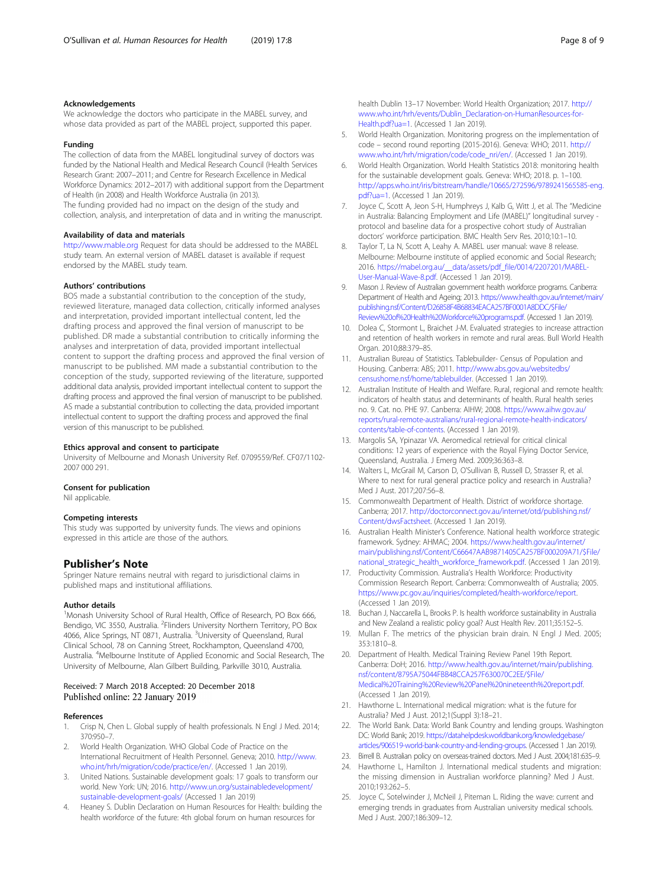#### <span id="page-7-0"></span>Acknowledgements

We acknowledge the doctors who participate in the MABEL survey, and whose data provided as part of the MABEL project, supported this paper.

#### Funding

The collection of data from the MABEL longitudinal survey of doctors was funded by the National Health and Medical Research Council (Health Services Research Grant: 2007–2011; and Centre for Research Excellence in Medical Workforce Dynamics: 2012–2017) with additional support from the Department of Health (in 2008) and Health Workforce Australia (in 2013). The funding provided had no impact on the design of the study and collection, analysis, and interpretation of data and in writing the manuscript.

#### Availability of data and materials

<http://www.mable.org> Request for data should be addressed to the MABEL study team. An external version of MABEL dataset is available if request endorsed by the MABEL study team.

#### Authors' contributions

BOS made a substantial contribution to the conception of the study, reviewed literature, managed data collection, critically informed analyses and interpretation, provided important intellectual content, led the drafting process and approved the final version of manuscript to be published. DR made a substantial contribution to critically informing the analyses and interpretation of data, provided important intellectual content to support the drafting process and approved the final version of manuscript to be published. MM made a substantial contribution to the conception of the study, supported reviewing of the literature, supported additional data analysis, provided important intellectual content to support the drafting process and approved the final version of manuscript to be published. AS made a substantial contribution to collecting the data, provided important intellectual content to support the drafting process and approved the final version of this manuscript to be published.

#### Ethics approval and consent to participate

University of Melbourne and Monash University Ref. 0709559/Ref. CF07/1102- 2007 000 291.

#### Consent for publication

Nil applicable.

#### Competing interests

This study was supported by university funds. The views and opinions expressed in this article are those of the authors.

#### Publisher's Note

Springer Nature remains neutral with regard to jurisdictional claims in published maps and institutional affiliations.

#### Author details

<sup>1</sup>Monash University School of Rural Health, Office of Research, PO Box 666, Bendigo, VIC 3550, Australia. <sup>2</sup>Flinders University Northern Territory, PO Box 4066, Alice Springs, NT 0871, Australia. <sup>3</sup>University of Queensland, Rural Clinical School, 78 on Canning Street, Rockhampton, Queensland 4700, Australia. <sup>4</sup> Melbourne Institute of Applied Economic and Social Research, The University of Melbourne, Alan Gilbert Building, Parkville 3010, Australia.

### Received: 7 March 2018 Accepted: 20 December 2018 Published online: 22 January 2019

#### References

- Crisp N, Chen L. Global supply of health professionals. N Engl J Med. 2014; 370:950–7.
- 2. World Health Organization. WHO Global Code of Practice on the International Recruitment of Health Personnel. Geneva; 2010. [http://www.](http://www.who.int/hrh/migration/code/practice/en/) [who.int/hrh/migration/code/practice/en/.](http://www.who.int/hrh/migration/code/practice/en/) (Accessed 1 Jan 2019).
- United Nations. Sustainable development goals: 17 goals to transform our world. New York: UN; 2016. [http://www.un.org/sustainabledevelopment/](http://www.un.org/sustainabledevelopment/sustainable-development-goals/) [sustainable-development-goals/](http://www.un.org/sustainabledevelopment/sustainable-development-goals/) (Accessed 1 Jan 2019)
- 4. Heaney S. Dublin Declaration on Human Resources for Health: building the health workforce of the future: 4th global forum on human resources for

health Dublin 13–17 November: World Health Organization; 2017. [http://](http://www.who.int/hrh/events/Dublin_Declaration-on-HumanResources-for-Health.pdf?ua=1) [www.who.int/hrh/events/Dublin\\_Declaration-on-HumanResources-for-](http://www.who.int/hrh/events/Dublin_Declaration-on-HumanResources-for-Health.pdf?ua=1)[Health.pdf?ua=1](http://www.who.int/hrh/events/Dublin_Declaration-on-HumanResources-for-Health.pdf?ua=1). (Accessed 1 Jan 2019).

- 5. World Health Organization. Monitoring progress on the implementation of code – second round reporting (2015-2016). Geneva: WHO; 2011. [http://](http://www.who.int/hrh/migration/code/code_nri/en/) [www.who.int/hrh/migration/code/code\\_nri/en/.](http://www.who.int/hrh/migration/code/code_nri/en/) (Accessed 1 Jan 2019).
- 6. World Health Organization. World Health Statistics 2018: monitoring health for the sustainable development goals. Geneva: WHO; 2018. p. 1–100. [http://apps.who.int/iris/bitstream/handle/10665/272596/9789241565585-eng.](http://apps.who.int/iris/bitstream/handle/10665/272596/9789241565585-eng.pdf?ua=1) [pdf?ua=1.](http://apps.who.int/iris/bitstream/handle/10665/272596/9789241565585-eng.pdf?ua=1) (Accessed 1 Jan 2019).
- Joyce C, Scott A, Jeon S-H, Humphreys J, Kalb G, Witt J, et al. The "Medicine in Australia: Balancing Employment and Life (MABEL)" longitudinal survey protocol and baseline data for a prospective cohort study of Australian doctors' workforce participation. BMC Health Serv Res. 2010;10:1–10.
- 8. Taylor T, La N, Scott A, Leahy A. MABEL user manual: wave 8 release. Melbourne: Melbourne institute of applied economic and Social Research; 2016. [https://mabel.org.au/\\_\\_data/assets/pdf\\_file/0014/2207201/MABEL-](https://mabel.org.au/__data/assets/pdf_file/0014/2207201/MABEL-User-Manual-Wave-8.pdf)[User-Manual-Wave-8.pdf](https://mabel.org.au/__data/assets/pdf_file/0014/2207201/MABEL-User-Manual-Wave-8.pdf). (Accessed 1 Jan 2019).
- 9. Mason J. Review of Australian government health workforce programs. Canberra: Department of Health and Ageing; 2013. [https://www.health.gov.au/internet/main/](https://www.health.gov.au/internet/main/publishing.nsf/Content/D26858F4B68834EACA257BF0001A8DDC/File/Review%20of%20Health%20Workforce%20programs.pdf) [publishing.nsf/Content/D26858F4B68834EACA257BF0001A8DDC/\\$File/](https://www.health.gov.au/internet/main/publishing.nsf/Content/D26858F4B68834EACA257BF0001A8DDC/File/Review%20of%20Health%20Workforce%20programs.pdf) [Review%20of%20Health%20Workforce%20programs.pdf](https://www.health.gov.au/internet/main/publishing.nsf/Content/D26858F4B68834EACA257BF0001A8DDC/File/Review%20of%20Health%20Workforce%20programs.pdf). (Accessed 1 Jan 2019).
- 10. Dolea C, Stormont L, Braichet J-M. Evaluated strategies to increase attraction and retention of health workers in remote and rural areas. Bull World Health Organ. 2010;88:379–85.
- 11. Australian Bureau of Statistics. Tablebuilder- Census of Population and Housing. Canberra: ABS; 2011. [http://www.abs.gov.au/websitedbs/](http://www.abs.gov.au/websitedbs/censushome.nsf/home/tablebuilder) [censushome.nsf/home/tablebuilder.](http://www.abs.gov.au/websitedbs/censushome.nsf/home/tablebuilder) (Accessed 1 Jan 2019).
- 12. Australian Institute of Health and Welfare. Rural, regional and remote health: indicators of health status and determinants of health. Rural health series no. 9. Cat. no. PHE 97. Canberra: AIHW; 2008. [https://www.aihw.gov.au/](https://www.aihw.gov.au/reports/rural-remote-australians/rural-regional-remote-health-indicators/contents/table-of-contents) [reports/rural-remote-australians/rural-regional-remote-health-indicators/](https://www.aihw.gov.au/reports/rural-remote-australians/rural-regional-remote-health-indicators/contents/table-of-contents) [contents/table-of-contents.](https://www.aihw.gov.au/reports/rural-remote-australians/rural-regional-remote-health-indicators/contents/table-of-contents) (Accessed 1 Jan 2019).
- 13. Margolis SA, Ypinazar VA. Aeromedical retrieval for critical clinical conditions: 12 years of experience with the Royal Flying Doctor Service, Queensland, Australia. J Emerg Med. 2009;36:363–8.
- 14. Walters L, McGrail M, Carson D, O'Sullivan B, Russell D, Strasser R, et al. Where to next for rural general practice policy and research in Australia? Med J Aust. 2017;207:56–8.
- 15. Commonwealth Department of Health. District of workforce shortage. Canberra; 2017. [http://doctorconnect.gov.au/internet/otd/publishing.nsf/](http://doctorconnect.gov.au/internet/otd/publishing.nsf/Content/dwsFactsheet) [Content/dwsFactsheet.](http://doctorconnect.gov.au/internet/otd/publishing.nsf/Content/dwsFactsheet) (Accessed 1 Jan 2019).
- 16. Australian Health Minister's Conference. National health workforce strategic framework. Sydney: AHMAC; 2004. [https://www.health.gov.au/internet/](https://www.health.gov.au/internet/main/publishing.nsf/Content/C66647AAB9871405CA257BF000209A71/File/national_strategic_health_workforce_framework.pdf) [main/publishing.nsf/Content/C66647AAB9871405CA257BF000209A71/\\$File/](https://www.health.gov.au/internet/main/publishing.nsf/Content/C66647AAB9871405CA257BF000209A71/File/national_strategic_health_workforce_framework.pdf) [national\\_strategic\\_health\\_workforce\\_framework.pdf.](https://www.health.gov.au/internet/main/publishing.nsf/Content/C66647AAB9871405CA257BF000209A71/File/national_strategic_health_workforce_framework.pdf) (Accessed 1 Jan 2019).
- 17. Productivity Commission. Australia's Health Workforce: Productivity Commission Research Report. Canberra: Commonwealth of Australia; 2005. <https://www.pc.gov.au/inquiries/completed/health-workforce/report>. (Accessed 1 Jan 2019).
- 18. Buchan J, Naccarella L, Brooks P. Is health workforce sustainability in Australia and New Zealand a realistic policy goal? Aust Health Rev. 2011;35:152–5.
- 19. Mullan F. The metrics of the physician brain drain. N Engl J Med. 2005; 353:1810–8.
- 20. Department of Health. Medical Training Review Panel 19th Report. Canberra: DoH; 2016. [http://www.health.gov.au/internet/main/publishing.](http://www.health.gov.au/internet/main/publishing.nsf/content/8795A75044FBB48CCA257F630070C2EE/File/Medical%20Training%20Review%20Panel%20nineteenth%20report.pdf) [nsf/content/8795A75044FBB48CCA257F630070C2EE/\\$File/](http://www.health.gov.au/internet/main/publishing.nsf/content/8795A75044FBB48CCA257F630070C2EE/File/Medical%20Training%20Review%20Panel%20nineteenth%20report.pdf) [Medical%20Training%20Review%20Panel%20nineteenth%20report.pdf.](http://www.health.gov.au/internet/main/publishing.nsf/content/8795A75044FBB48CCA257F630070C2EE/File/Medical%20Training%20Review%20Panel%20nineteenth%20report.pdf) (Accessed 1 Jan 2019).
- 21. Hawthorne L. International medical migration: what is the future for Australia? Med J Aust. 2012;1(Suppl 3):18–21.
- 22. The World Bank. Data: World Bank Country and lending groups. Washington DC: World Bank; 2019. [https://datahelpdesk.worldbank.org/knowledgebase/](https://datahelpdesk.worldbank.org/knowledgebase/articles/906519-world-bank-country-and-lending-groups) [articles/906519-world-bank-country-and-lending-groups.](https://datahelpdesk.worldbank.org/knowledgebase/articles/906519-world-bank-country-and-lending-groups) (Accessed 1 Jan 2019).
- 23. Birrell B. Australian policy on overseas-trained doctors. Med J Aust. 2004;181:635–9.
- 24. Hawthorne L, Hamilton J, International medical students and migration: the missing dimension in Australian workforce planning? Med J Aust. 2010;193:262–5.
- 25. Joyce C, Sotelwinder J, McNeil J, Piteman L. Riding the wave: current and emerging trends in graduates from Australian university medical schools. Med J Aust. 2007;186:309–12.